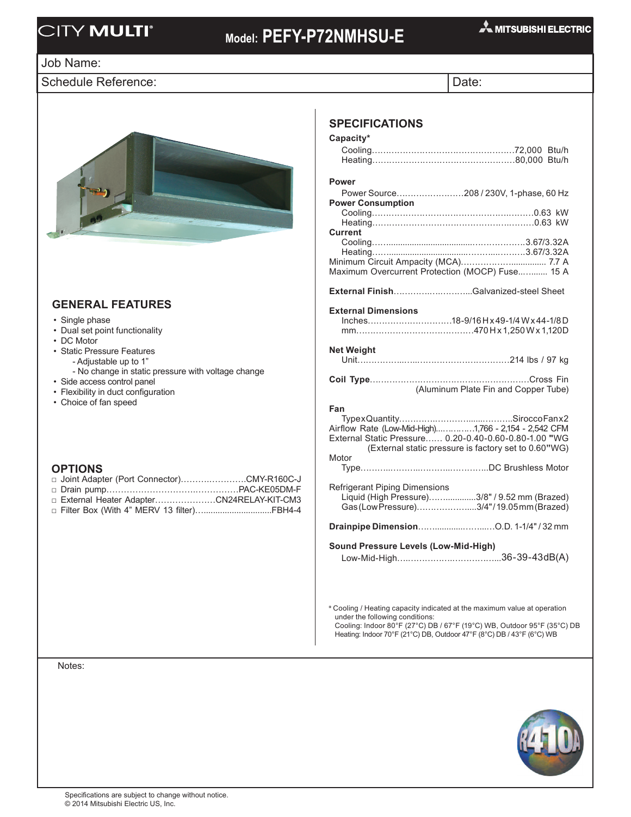## **CITY MULTI**<sup>®</sup>

## **Model: PEFY-P72NMHSU-E**

#### Job Name:

Schedule Reference: Date:



### **General FEATURES**

- Single phase
- Dual set point functionality
- DC Motor
- Static Pressure Features
	- Adjustable up to 1"
	- No change in static pressure with voltage change
- Side access control panel
- Flexibility in duct configuration
- Choice of fan speed

- **OPTIONS** □ Joint Adapter (Port Connector)……….………….CMY-R160C-J
- □ Drain pump………………………….……………PAC-KE05DM-F
- □ External Heater Adapter…………………CN24RELAY-KIT-CM3 □ Filter Box (With 4" MERV 13 filter).................................FBH4-4

## **Specifications**

| Capacity*                                                     |
|---------------------------------------------------------------|
|                                                               |
|                                                               |
| <b>Power</b>                                                  |
| Power Source208 / 230V, 1-phase, 60 Hz                        |
| <b>Power Consumption</b>                                      |
|                                                               |
| Current                                                       |
|                                                               |
|                                                               |
| Maximum Overcurrent Protection (MOCP) Fuse 15 A               |
|                                                               |
| External FinishGalvanized-steel Sheet                         |
| <b>External Dimensions</b>                                    |
|                                                               |
|                                                               |
| <b>Net Weight</b>                                             |
|                                                               |
|                                                               |
|                                                               |
|                                                               |
| (Aluminum Plate Fin and Copper Tube)                          |
| Fan                                                           |
|                                                               |
| Airflow Rate (Low-Mid-High)1,766 - 2,154 - 2,542 CFM          |
| External Static Pressure 0.20-0.40-0.60-0.80-1.00 "WG         |
| (External static pressure is factory set to 0.60"WG)<br>Motor |
|                                                               |
|                                                               |
| <b>Refrigerant Piping Dimensions</b>                          |
| Liquid (High Pressure)3/8" / 9.52 mm (Brazed)                 |
| Gas (Low Pressure)3/4"/19.05mm (Brazed)                       |
|                                                               |
|                                                               |
| Sound Pressure Levels (Low-Mid-High)                          |
|                                                               |
|                                                               |
|                                                               |

\* Cooling / Heating capacity indicated at the maximum value at operation under the following conditions: Cooling: Indoor 80°F (27°C) DB / 67°F (19°C) WB, Outdoor 95°F (35°C) DB

Heating: Indoor 70°F (21°C) DB, Outdoor 47°F (8°C) DB / 43°F (6°C) WB

Notes: